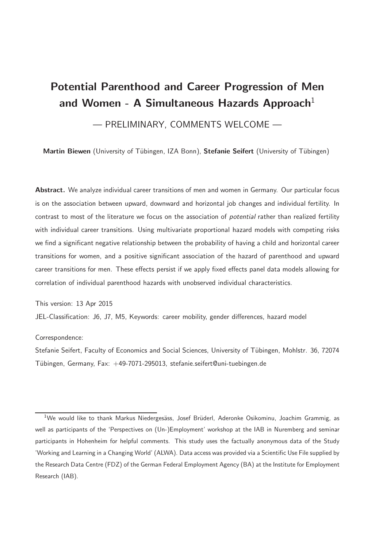# Potential Parenthood and Career Progression of Men and Women - A Simultaneous Hazards Approach<sup>1</sup>

### — PRELIMINARY, COMMENTS WELCOME —

Martin Biewen (University of Tübingen, IZA Bonn), Stefanie Seifert (University of Tübingen)

Abstract. We analyze individual career transitions of men and women in Germany. Our particular focus is on the association between upward, downward and horizontal job changes and individual fertility. In contrast to most of the literature we focus on the association of potential rather than realized fertility with individual career transitions. Using multivariate proportional hazard models with competing risks we find a significant negative relationship between the probability of having a child and horizontal career transitions for women, and a positive significant association of the hazard of parenthood and upward career transitions for men. These effects persist if we apply fixed effects panel data models allowing for correlation of individual parenthood hazards with unobserved individual characteristics.

This version: 13 Apr 2015

JEL-Classification: J6, J7, M5, Keywords: career mobility, gender differences, hazard model

#### Correspondence:

Stefanie Seifert, Faculty of Economics and Social Sciences, University of Tübingen, Mohlstr. 36, 72074 Tübingen, Germany, Fax: +49-7071-295013, stefanie.seifert@uni-tuebingen.de

 $1$ We would like to thank Markus Niedergesäss, Josef Brüderl, Aderonke Osikominu, Joachim Grammig, as well as participants of the 'Perspectives on (Un-)Employment' workshop at the IAB in Nuremberg and seminar participants in Hohenheim for helpful comments. This study uses the factually anonymous data of the Study 'Working and Learning in a Changing World' (ALWA). Data access was provided via a Scientific Use File supplied by the Research Data Centre (FDZ) of the German Federal Employment Agency (BA) at the Institute for Employment Research (IAB).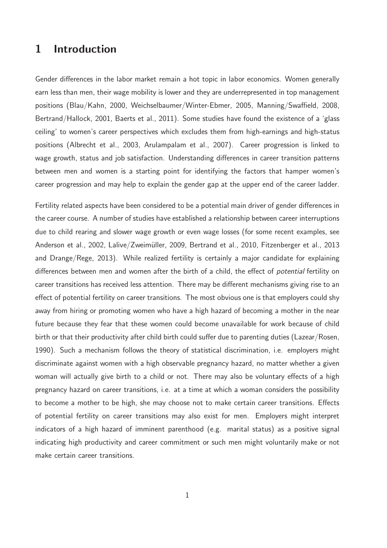## 1 Introduction

Gender differences in the labor market remain a hot topic in labor economics. Women generally earn less than men, their wage mobility is lower and they are underrepresented in top management positions (Blau/Kahn, 2000, Weichselbaumer/Winter-Ebmer, 2005, Manning/Swaffield, 2008, Bertrand/Hallock, 2001, Baerts et al., 2011). Some studies have found the existence of a 'glass ceiling' to women's career perspectives which excludes them from high-earnings and high-status positions (Albrecht et al., 2003, Arulampalam et al., 2007). Career progression is linked to wage growth, status and job satisfaction. Understanding differences in career transition patterns between men and women is a starting point for identifying the factors that hamper women's career progression and may help to explain the gender gap at the upper end of the career ladder.

Fertility related aspects have been considered to be a potential main driver of gender differences in the career course. A number of studies have established a relationship between career interruptions due to child rearing and slower wage growth or even wage losses (for some recent examples, see Anderson et al., 2002, Lalive/Zweimüller, 2009, Bertrand et al., 2010, Fitzenberger et al., 2013 and Drange/Rege, 2013). While realized fertility is certainly a major candidate for explaining differences between men and women after the birth of a child, the effect of potential fertility on career transitions has received less attention. There may be different mechanisms giving rise to an effect of potential fertility on career transitions. The most obvious one is that employers could shy away from hiring or promoting women who have a high hazard of becoming a mother in the near future because they fear that these women could become unavailable for work because of child birth or that their productivity after child birth could suffer due to parenting duties (Lazear/Rosen, 1990). Such a mechanism follows the theory of statistical discrimination, i.e. employers might discriminate against women with a high observable pregnancy hazard, no matter whether a given woman will actually give birth to a child or not. There may also be voluntary effects of a high pregnancy hazard on career transitions, i.e. at a time at which a woman considers the possibility to become a mother to be high, she may choose not to make certain career transitions. Effects of potential fertility on career transitions may also exist for men. Employers might interpret indicators of a high hazard of imminent parenthood (e.g. marital status) as a positive signal indicating high productivity and career commitment or such men might voluntarily make or not make certain career transitions.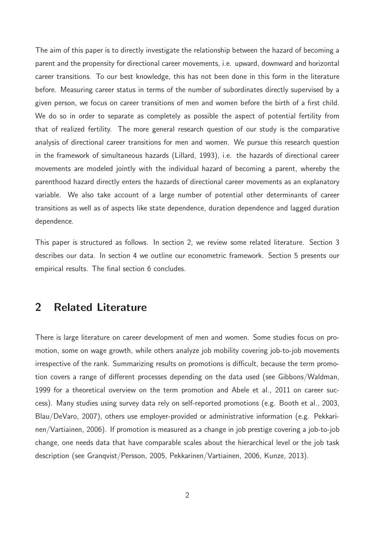The aim of this paper is to directly investigate the relationship between the hazard of becoming a parent and the propensity for directional career movements, i.e. upward, downward and horizontal career transitions. To our best knowledge, this has not been done in this form in the literature before. Measuring career status in terms of the number of subordinates directly supervised by a given person, we focus on career transitions of men and women before the birth of a first child. We do so in order to separate as completely as possible the aspect of potential fertility from that of realized fertility. The more general research question of our study is the comparative analysis of directional career transitions for men and women. We pursue this research question in the framework of simultaneous hazards (Lillard, 1993), i.e. the hazards of directional career movements are modeled jointly with the individual hazard of becoming a parent, whereby the parenthood hazard directly enters the hazards of directional career movements as an explanatory variable. We also take account of a large number of potential other determinants of career transitions as well as of aspects like state dependence, duration dependence and lagged duration dependence.

This paper is structured as follows. In section 2, we review some related literature. Section 3 describes our data. In section 4 we outline our econometric framework. Section 5 presents our empirical results. The final section 6 concludes.

## 2 Related Literature

There is large literature on career development of men and women. Some studies focus on promotion, some on wage growth, while others analyze job mobility covering job-to-job movements irrespective of the rank. Summarizing results on promotions is difficult, because the term promotion covers a range of different processes depending on the data used (see Gibbons/Waldman, 1999 for a theoretical overview on the term promotion and Abele et al., 2011 on career success). Many studies using survey data rely on self-reported promotions (e.g. Booth et al., 2003, Blau/DeVaro, 2007), others use employer-provided or administrative information (e.g. Pekkarinen/Vartiainen, 2006). If promotion is measured as a change in job prestige covering a job-to-job change, one needs data that have comparable scales about the hierarchical level or the job task description (see Granqvist/Persson, 2005, Pekkarinen/Vartiainen, 2006, Kunze, 2013).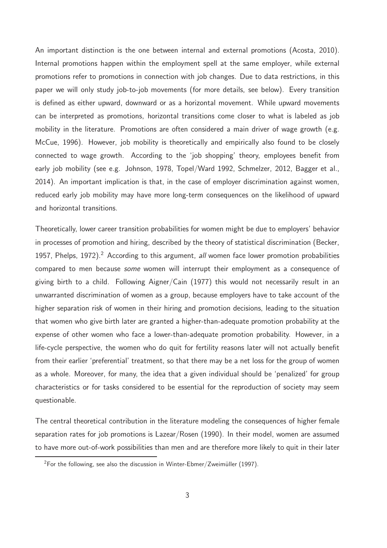An important distinction is the one between internal and external promotions (Acosta, 2010). Internal promotions happen within the employment spell at the same employer, while external promotions refer to promotions in connection with job changes. Due to data restrictions, in this paper we will only study job-to-job movements (for more details, see below). Every transition is defined as either upward, downward or as a horizontal movement. While upward movements can be interpreted as promotions, horizontal transitions come closer to what is labeled as job mobility in the literature. Promotions are often considered a main driver of wage growth (e.g. McCue, 1996). However, job mobility is theoretically and empirically also found to be closely connected to wage growth. According to the 'job shopping' theory, employees benefit from early job mobility (see e.g. Johnson, 1978, Topel/Ward 1992, Schmelzer, 2012, Bagger et al., 2014). An important implication is that, in the case of employer discrimination against women, reduced early job mobility may have more long-term consequences on the likelihood of upward and horizontal transitions.

Theoretically, lower career transition probabilities for women might be due to employers' behavior in processes of promotion and hiring, described by the theory of statistical discrimination (Becker, 1957, Phelps, 1972).<sup>2</sup> According to this argument, all women face lower promotion probabilities compared to men because some women will interrupt their employment as a consequence of giving birth to a child. Following Aigner/Cain (1977) this would not necessarily result in an unwarranted discrimination of women as a group, because employers have to take account of the higher separation risk of women in their hiring and promotion decisions, leading to the situation that women who give birth later are granted a higher-than-adequate promotion probability at the expense of other women who face a lower-than-adequate promotion probability. However, in a life-cycle perspective, the women who do quit for fertility reasons later will not actually benefit from their earlier 'preferential' treatment, so that there may be a net loss for the group of women as a whole. Moreover, for many, the idea that a given individual should be 'penalized' for group characteristics or for tasks considered to be essential for the reproduction of society may seem questionable.

The central theoretical contribution in the literature modeling the consequences of higher female separation rates for job promotions is Lazear/Rosen (1990). In their model, women are assumed to have more out-of-work possibilities than men and are therefore more likely to quit in their later

<sup>&</sup>lt;sup>2</sup>For the following, see also the discussion in Winter-Ebmer/Zweimüller (1997).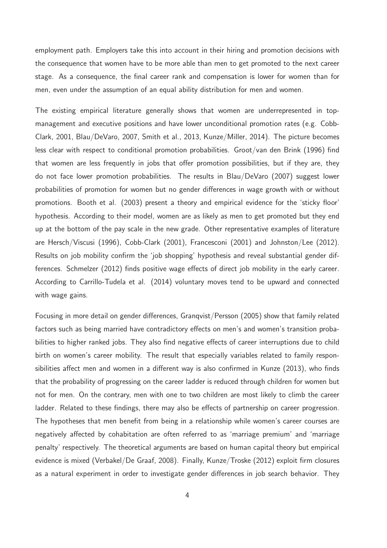employment path. Employers take this into account in their hiring and promotion decisions with the consequence that women have to be more able than men to get promoted to the next career stage. As a consequence, the final career rank and compensation is lower for women than for men, even under the assumption of an equal ability distribution for men and women.

The existing empirical literature generally shows that women are underrepresented in topmanagement and executive positions and have lower unconditional promotion rates (e.g. Cobb-Clark, 2001, Blau/DeVaro, 2007, Smith et al., 2013, Kunze/Miller, 2014). The picture becomes less clear with respect to conditional promotion probabilities. Groot/van den Brink (1996) find that women are less frequently in jobs that offer promotion possibilities, but if they are, they do not face lower promotion probabilities. The results in Blau/DeVaro (2007) suggest lower probabilities of promotion for women but no gender differences in wage growth with or without promotions. Booth et al. (2003) present a theory and empirical evidence for the 'sticky floor' hypothesis. According to their model, women are as likely as men to get promoted but they end up at the bottom of the pay scale in the new grade. Other representative examples of literature are Hersch/Viscusi (1996), Cobb-Clark (2001), Francesconi (2001) and Johnston/Lee (2012). Results on job mobility confirm the 'job shopping' hypothesis and reveal substantial gender differences. Schmelzer (2012) finds positive wage effects of direct job mobility in the early career. According to Carrillo-Tudela et al. (2014) voluntary moves tend to be upward and connected with wage gains.

Focusing in more detail on gender differences, Granqvist/Persson (2005) show that family related factors such as being married have contradictory effects on men's and women's transition probabilities to higher ranked jobs. They also find negative effects of career interruptions due to child birth on women's career mobility. The result that especially variables related to family responsibilities affect men and women in a different way is also confirmed in Kunze (2013), who finds that the probability of progressing on the career ladder is reduced through children for women but not for men. On the contrary, men with one to two children are most likely to climb the career ladder. Related to these findings, there may also be effects of partnership on career progression. The hypotheses that men benefit from being in a relationship while women's career courses are negatively affected by cohabitation are often referred to as 'marriage premium' and 'marriage penalty' respectively. The theoretical arguments are based on human capital theory but empirical evidence is mixed (Verbakel/De Graaf, 2008). Finally, Kunze/Troske (2012) exploit firm closures as a natural experiment in order to investigate gender differences in job search behavior. They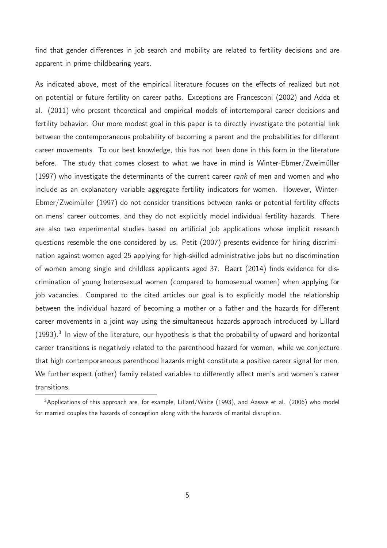find that gender differences in job search and mobility are related to fertility decisions and are apparent in prime-childbearing years.

As indicated above, most of the empirical literature focuses on the effects of realized but not on potential or future fertility on career paths. Exceptions are Francesconi (2002) and Adda et al. (2011) who present theoretical and empirical models of intertemporal career decisions and fertility behavior. Our more modest goal in this paper is to directly investigate the potential link between the contemporaneous probability of becoming a parent and the probabilities for different career movements. To our best knowledge, this has not been done in this form in the literature before. The study that comes closest to what we have in mind is Winter-Ebmer/Zweimüller (1997) who investigate the determinants of the current career rank of men and women and who include as an explanatory variable aggregate fertility indicators for women. However, Winter-Ebmer/Zweimüller (1997) do not consider transitions between ranks or potential fertility effects on mens' career outcomes, and they do not explicitly model individual fertility hazards. There are also two experimental studies based on artificial job applications whose implicit research questions resemble the one considered by us. Petit (2007) presents evidence for hiring discrimination against women aged 25 applying for high-skilled administrative jobs but no discrimination of women among single and childless applicants aged 37. Baert (2014) finds evidence for discrimination of young heterosexual women (compared to homosexual women) when applying for job vacancies. Compared to the cited articles our goal is to explicitly model the relationship between the individual hazard of becoming a mother or a father and the hazards for different career movements in a joint way using the simultaneous hazards approach introduced by Lillard  $(1993).<sup>3</sup>$  In view of the literature, our hypothesis is that the probability of upward and horizontal career transitions is negatively related to the parenthood hazard for women, while we conjecture that high contemporaneous parenthood hazards might constitute a positive career signal for men. We further expect (other) family related variables to differently affect men's and women's career transitions.

<sup>&</sup>lt;sup>3</sup>Applications of this approach are, for example, Lillard/Waite (1993), and Aassve et al. (2006) who model for married couples the hazards of conception along with the hazards of marital disruption.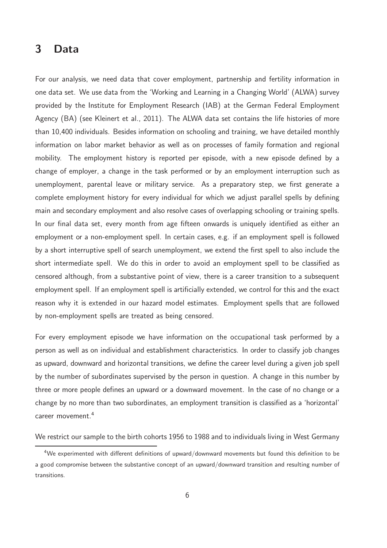## 3 Data

For our analysis, we need data that cover employment, partnership and fertility information in one data set. We use data from the 'Working and Learning in a Changing World' (ALWA) survey provided by the Institute for Employment Research (IAB) at the German Federal Employment Agency (BA) (see Kleinert et al., 2011). The ALWA data set contains the life histories of more than 10,400 individuals. Besides information on schooling and training, we have detailed monthly information on labor market behavior as well as on processes of family formation and regional mobility. The employment history is reported per episode, with a new episode defined by a change of employer, a change in the task performed or by an employment interruption such as unemployment, parental leave or military service. As a preparatory step, we first generate a complete employment history for every individual for which we adjust parallel spells by defining main and secondary employment and also resolve cases of overlapping schooling or training spells. In our final data set, every month from age fifteen onwards is uniquely identified as either an employment or a non-employment spell. In certain cases, e.g. if an employment spell is followed by a short interruptive spell of search unemployment, we extend the first spell to also include the short intermediate spell. We do this in order to avoid an employment spell to be classified as censored although, from a substantive point of view, there is a career transition to a subsequent employment spell. If an employment spell is artificially extended, we control for this and the exact reason why it is extended in our hazard model estimates. Employment spells that are followed by non-employment spells are treated as being censored.

For every employment episode we have information on the occupational task performed by a person as well as on individual and establishment characteristics. In order to classify job changes as upward, downward and horizontal transitions, we define the career level during a given job spell by the number of subordinates supervised by the person in question. A change in this number by three or more people defines an upward or a downward movement. In the case of no change or a change by no more than two subordinates, an employment transition is classified as a 'horizontal' career movement.<sup>4</sup>

We restrict our sample to the birth cohorts 1956 to 1988 and to individuals living in West Germany

<sup>4</sup>We experimented with different definitions of upward/downward movements but found this definition to be a good compromise between the substantive concept of an upward/downward transition and resulting number of transitions.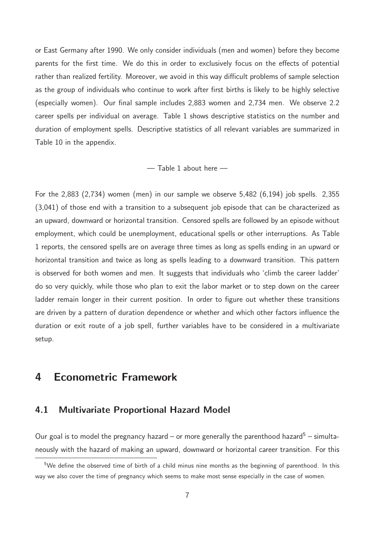or East Germany after 1990. We only consider individuals (men and women) before they become parents for the first time. We do this in order to exclusively focus on the effects of potential rather than realized fertility. Moreover, we avoid in this way difficult problems of sample selection as the group of individuals who continue to work after first births is likely to be highly selective (especially women). Our final sample includes 2,883 women and 2,734 men. We observe 2.2 career spells per individual on average. Table 1 shows descriptive statistics on the number and duration of employment spells. Descriptive statistics of all relevant variables are summarized in Table 10 in the appendix.

#### — Table 1 about here —

For the 2,883 (2,734) women (men) in our sample we observe 5,482 (6,194) job spells. 2,355 (3,041) of those end with a transition to a subsequent job episode that can be characterized as an upward, downward or horizontal transition. Censored spells are followed by an episode without employment, which could be unemployment, educational spells or other interruptions. As Table 1 reports, the censored spells are on average three times as long as spells ending in an upward or horizontal transition and twice as long as spells leading to a downward transition. This pattern is observed for both women and men. It suggests that individuals who 'climb the career ladder' do so very quickly, while those who plan to exit the labor market or to step down on the career ladder remain longer in their current position. In order to figure out whether these transitions are driven by a pattern of duration dependence or whether and which other factors influence the duration or exit route of a job spell, further variables have to be considered in a multivariate setup.

## 4 Econometric Framework

#### 4.1 Multivariate Proportional Hazard Model

Our goal is to model the pregnancy hazard – or more generally the parenthood hazard<sup>5</sup> – simultaneously with the hazard of making an upward, downward or horizontal career transition. For this

 $5$ We define the observed time of birth of a child minus nine months as the beginning of parenthood. In this way we also cover the time of pregnancy which seems to make most sense especially in the case of women.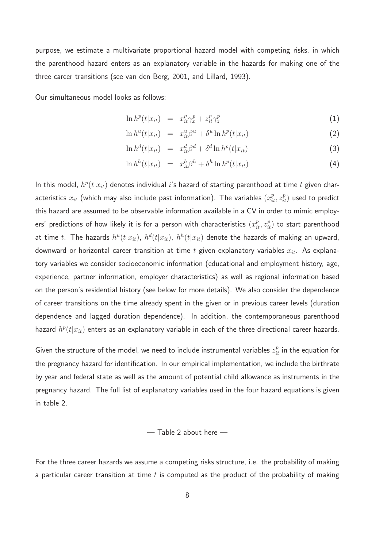purpose, we estimate a multivariate proportional hazard model with competing risks, in which the parenthood hazard enters as an explanatory variable in the hazards for making one of the three career transitions (see van den Berg, 2001, and Lillard, 1993).

Our simultaneous model looks as follows:

$$
\ln h^p(t|x_{it}) = x_{it}^p \gamma_x^p + z_{it}^p \gamma_z^p \tag{1}
$$

$$
\ln h^{u}(t|x_{it}) = x_{it}^{u}\beta^{u} + \delta^{u}\ln h^{p}(t|x_{it})
$$
\n(2)

$$
\ln h^d(t|x_{it}) = x_{it}^d \beta^d + \delta^d \ln h^p(t|x_{it}) \tag{3}
$$

$$
\ln h^{h}(t|x_{it}) = x_{it}^{h}\beta^{h} + \delta^{h}\ln h^{p}(t|x_{it}) \qquad (4)
$$

In this model,  $h^p(t|x_{it})$  denotes individual  $i$ 's hazard of starting parenthood at time  $t$  given characteristics  $x_{it}$  (which may also include past information). The variables  $(x_{it}^p, z_{it}^p)$  used to predict this hazard are assumed to be observable information available in a CV in order to mimic employers' predictions of how likely it is for a person with characteristics  $(x^p_{it}, z^p_{it})$  to start parenthood at time  $t.$  The hazards  $h^u(t|x_{it})$ ,  $h^d(t|x_{it})$ ,  $h^h(t|x_{it})$  denote the hazards of making an upward, downward or horizontal career transition at time  $t$  given explanatory variables  $x_{it}$ . As explanatory variables we consider socioeconomic information (educational and employment history, age, experience, partner information, employer characteristics) as well as regional information based on the person's residential history (see below for more details). We also consider the dependence of career transitions on the time already spent in the given or in previous career levels (duration dependence and lagged duration dependence). In addition, the contemporaneous parenthood hazard  $h^p(t|x_{it})$  enters as an explanatory variable in each of the three directional career hazards.

Given the structure of the model, we need to include instrumental variables  $z_{it}^p$  in the equation for the pregnancy hazard for identification. In our empirical implementation, we include the birthrate by year and federal state as well as the amount of potential child allowance as instruments in the pregnancy hazard. The full list of explanatory variables used in the four hazard equations is given in table 2.

#### — Table 2 about here —

For the three career hazards we assume a competing risks structure, i.e. the probability of making a particular career transition at time  $t$  is computed as the product of the probability of making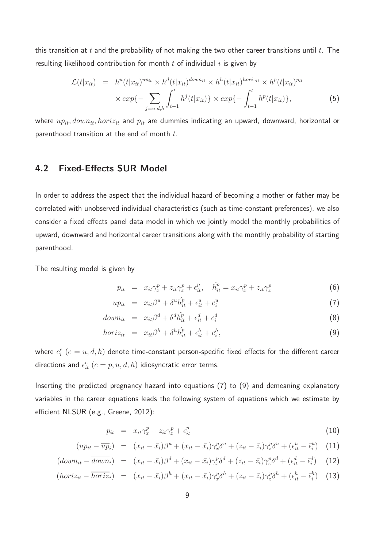this transition at  $t$  and the probability of not making the two other career transitions until  $t$ . The resulting likelihood contribution for month  $t$  of individual  $i$  is given by

$$
\mathcal{L}(t|x_{it}) = h^{u}(t|x_{it})^{up_{it}} \times h^{d}(t|x_{it})^{down_{it}} \times h^{h}(t|x_{it})^{horiz_{it}} \times h^{p}(t|x_{it})^{p_{it}} \times exp\{-\sum_{j=u,d,h} \int_{t-1}^{t} h^{j}(t|x_{it})\} \times exp\{-\int_{t-1}^{t} h^{p}(t|x_{it})\},
$$
\n(5)

where  $up_{it}$ ,  $down_{it}$ ,  $hori_{it}$  and  $p_{it}$  are dummies indicating an upward, downward, horizontal or parenthood transition at the end of month  $t$ .

### 4.2 Fixed-Effects SUR Model

In order to address the aspect that the individual hazard of becoming a mother or father may be correlated with unobserved individual characteristics (such as time-constant preferences), we also consider a fixed effects panel data model in which we jointly model the monthly probabilities of upward, downward and horizontal career transitions along with the monthly probability of starting parenthood.

The resulting model is given by

$$
p_{it} = x_{it}\gamma_x^p + z_{it}\gamma_z^p + \epsilon_{it}^p, \quad \hat{h}_{it}^p = x_{it}\gamma_x^p + z_{it}\gamma_z^p \tag{6}
$$

$$
up_{it} = x_{it}\beta^u + \delta^u \hat{h}^p_{it} + \epsilon^u_{it} + c^u_i \tag{7}
$$

$$
down_{it} = x_{it}\beta^d + \delta^d \hat{h}_{it}^p + \epsilon_{it}^d + c_i^d \tag{8}
$$

$$
horiz_{it} = x_{it}\beta^h + \delta^h \hat{h}^p_{it} + \epsilon^h_{it} + c^h_i,
$$
\n(9)

where  $c_i^e$   $(e=u,d,h)$  denote time-constant person-specific fixed effects for the different career directions and  $\epsilon_{it}^e$   $(e = p, u, d, h)$  idiosyncratic error terms.

Inserting the predicted pregnancy hazard into equations (7) to (9) and demeaning explanatory variables in the career equations leads the following system of equations which we estimate by efficient NLSUR (e.g., Greene, 2012):

$$
p_{it} = x_{it}\gamma_x^p + z_{it}\gamma_z^p + \epsilon_{it}^p \tag{10}
$$

$$
(up_{it} - \overline{up}_{i}) = (x_{it} - \overline{x}_{i})\beta^{u} + (x_{it} - \overline{x}_{i})\gamma_{x}^{p}\delta^{u} + (z_{it} - \overline{z}_{i})\gamma_{z}^{p}\delta^{u} + (\epsilon_{it}^{u} - \overline{\epsilon}_{i}^{u}) \quad (11)
$$

$$
(down_{it} - \overline{down}_{i}) = (x_{it} - \overline{x}_{i})\beta^{d} + (x_{it} - \overline{x}_{i})\gamma_{x}^{p}\delta^{d} + (z_{it} - \overline{z}_{i})\gamma_{z}^{p}\delta^{d} + (\epsilon_{it}^{d} - \overline{\epsilon}_{i}^{d}) \quad (12)
$$

$$
(horiz_{it} - \overline{horiz}_{i}) = (x_{it} - \overline{x}_{i})\beta^{h} + (x_{it} - \overline{x}_{i})\gamma_{x}^{p}\delta^{h} + (z_{it} - \overline{z}_{i})\gamma_{z}^{p}\delta^{h} + (\epsilon_{it}^{h} - \overline{\epsilon}_{i}^{h}) \quad (13)
$$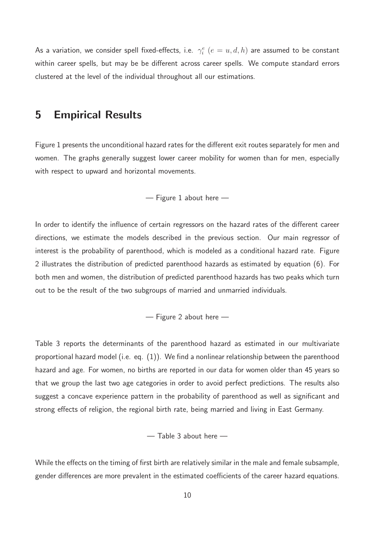As a variation, we consider spell fixed-effects, i.e.  $\gamma^e_i$   $(e=u,d,h)$  are assumed to be constant within career spells, but may be be different across career spells. We compute standard errors clustered at the level of the individual throughout all our estimations.

### 5 Empirical Results

Figure 1 presents the unconditional hazard rates for the different exit routes separately for men and women. The graphs generally suggest lower career mobility for women than for men, especially with respect to upward and horizontal movements.

— Figure 1 about here —

In order to identify the influence of certain regressors on the hazard rates of the different career directions, we estimate the models described in the previous section. Our main regressor of interest is the probability of parenthood, which is modeled as a conditional hazard rate. Figure 2 illustrates the distribution of predicted parenthood hazards as estimated by equation (6). For both men and women, the distribution of predicted parenthood hazards has two peaks which turn out to be the result of the two subgroups of married and unmarried individuals.

— Figure 2 about here —

Table 3 reports the determinants of the parenthood hazard as estimated in our multivariate proportional hazard model (i.e. eq. (1)). We find a nonlinear relationship between the parenthood hazard and age. For women, no births are reported in our data for women older than 45 years so that we group the last two age categories in order to avoid perfect predictions. The results also suggest a concave experience pattern in the probability of parenthood as well as significant and strong effects of religion, the regional birth rate, being married and living in East Germany.

— Table 3 about here —

While the effects on the timing of first birth are relatively similar in the male and female subsample, gender differences are more prevalent in the estimated coefficients of the career hazard equations.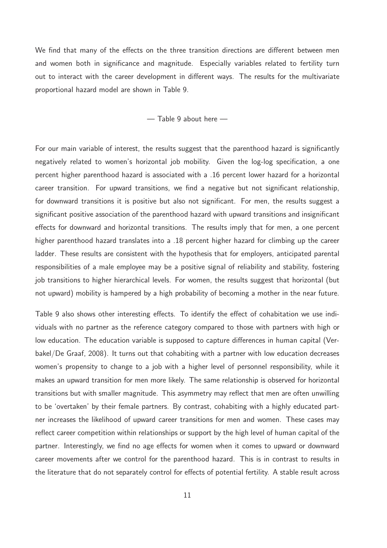We find that many of the effects on the three transition directions are different between men and women both in significance and magnitude. Especially variables related to fertility turn out to interact with the career development in different ways. The results for the multivariate proportional hazard model are shown in Table 9.

— Table 9 about here —

For our main variable of interest, the results suggest that the parenthood hazard is significantly negatively related to women's horizontal job mobility. Given the log-log specification, a one percent higher parenthood hazard is associated with a .16 percent lower hazard for a horizontal career transition. For upward transitions, we find a negative but not significant relationship, for downward transitions it is positive but also not significant. For men, the results suggest a significant positive association of the parenthood hazard with upward transitions and insignificant effects for downward and horizontal transitions. The results imply that for men, a one percent higher parenthood hazard translates into a .18 percent higher hazard for climbing up the career ladder. These results are consistent with the hypothesis that for employers, anticipated parental responsibilities of a male employee may be a positive signal of reliability and stability, fostering job transitions to higher hierarchical levels. For women, the results suggest that horizontal (but not upward) mobility is hampered by a high probability of becoming a mother in the near future.

Table 9 also shows other interesting effects. To identify the effect of cohabitation we use individuals with no partner as the reference category compared to those with partners with high or low education. The education variable is supposed to capture differences in human capital (Verbakel/De Graaf, 2008). It turns out that cohabiting with a partner with low education decreases women's propensity to change to a job with a higher level of personnel responsibility, while it makes an upward transition for men more likely. The same relationship is observed for horizontal transitions but with smaller magnitude. This asymmetry may reflect that men are often unwilling to be 'overtaken' by their female partners. By contrast, cohabiting with a highly educated partner increases the likelihood of upward career transitions for men and women. These cases may reflect career competition within relationships or support by the high level of human capital of the partner. Interestingly, we find no age effects for women when it comes to upward or downward career movements after we control for the parenthood hazard. This is in contrast to results in the literature that do not separately control for effects of potential fertility. A stable result across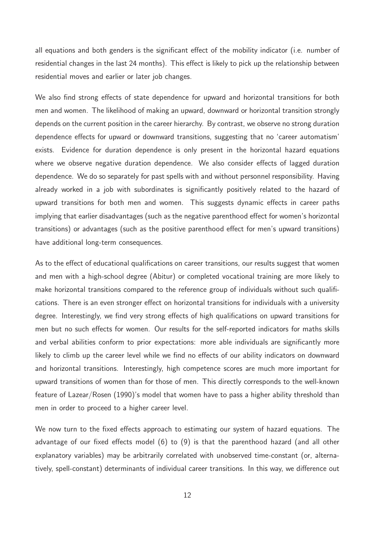all equations and both genders is the significant effect of the mobility indicator (i.e. number of residential changes in the last 24 months). This effect is likely to pick up the relationship between residential moves and earlier or later job changes.

We also find strong effects of state dependence for upward and horizontal transitions for both men and women. The likelihood of making an upward, downward or horizontal transition strongly depends on the current position in the career hierarchy. By contrast, we observe no strong duration dependence effects for upward or downward transitions, suggesting that no 'career automatism' exists. Evidence for duration dependence is only present in the horizontal hazard equations where we observe negative duration dependence. We also consider effects of lagged duration dependence. We do so separately for past spells with and without personnel responsibility. Having already worked in a job with subordinates is significantly positively related to the hazard of upward transitions for both men and women. This suggests dynamic effects in career paths implying that earlier disadvantages (such as the negative parenthood effect for women's horizontal transitions) or advantages (such as the positive parenthood effect for men's upward transitions) have additional long-term consequences.

As to the effect of educational qualifications on career transitions, our results suggest that women and men with a high-school degree (Abitur) or completed vocational training are more likely to make horizontal transitions compared to the reference group of individuals without such qualifications. There is an even stronger effect on horizontal transitions for individuals with a university degree. Interestingly, we find very strong effects of high qualifications on upward transitions for men but no such effects for women. Our results for the self-reported indicators for maths skills and verbal abilities conform to prior expectations: more able individuals are significantly more likely to climb up the career level while we find no effects of our ability indicators on downward and horizontal transitions. Interestingly, high competence scores are much more important for upward transitions of women than for those of men. This directly corresponds to the well-known feature of Lazear/Rosen (1990)'s model that women have to pass a higher ability threshold than men in order to proceed to a higher career level.

We now turn to the fixed effects approach to estimating our system of hazard equations. The advantage of our fixed effects model (6) to (9) is that the parenthood hazard (and all other explanatory variables) may be arbitrarily correlated with unobserved time-constant (or, alternatively, spell-constant) determinants of individual career transitions. In this way, we difference out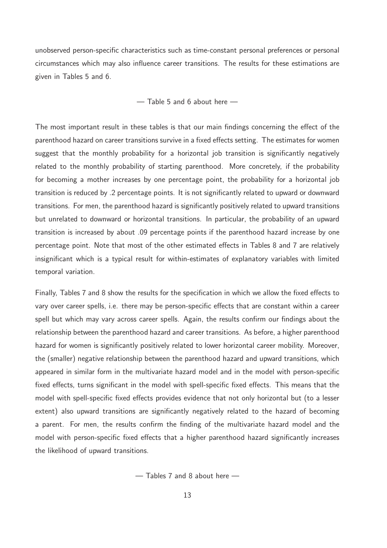unobserved person-specific characteristics such as time-constant personal preferences or personal circumstances which may also influence career transitions. The results for these estimations are given in Tables 5 and 6.

— Table 5 and 6 about here —

The most important result in these tables is that our main findings concerning the effect of the parenthood hazard on career transitions survive in a fixed effects setting. The estimates for women suggest that the monthly probability for a horizontal job transition is significantly negatively related to the monthly probability of starting parenthood. More concretely, if the probability for becoming a mother increases by one percentage point, the probability for a horizontal job transition is reduced by .2 percentage points. It is not significantly related to upward or downward transitions. For men, the parenthood hazard is significantly positively related to upward transitions but unrelated to downward or horizontal transitions. In particular, the probability of an upward transition is increased by about .09 percentage points if the parenthood hazard increase by one percentage point. Note that most of the other estimated effects in Tables 8 and 7 are relatively insignificant which is a typical result for within-estimates of explanatory variables with limited temporal variation.

Finally, Tables 7 and 8 show the results for the specification in which we allow the fixed effects to vary over career spells, i.e. there may be person-specific effects that are constant within a career spell but which may vary across career spells. Again, the results confirm our findings about the relationship between the parenthood hazard and career transitions. As before, a higher parenthood hazard for women is significantly positively related to lower horizontal career mobility. Moreover, the (smaller) negative relationship between the parenthood hazard and upward transitions, which appeared in similar form in the multivariate hazard model and in the model with person-specific fixed effects, turns significant in the model with spell-specific fixed effects. This means that the model with spell-specific fixed effects provides evidence that not only horizontal but (to a lesser extent) also upward transitions are significantly negatively related to the hazard of becoming a parent. For men, the results confirm the finding of the multivariate hazard model and the model with person-specific fixed effects that a higher parenthood hazard significantly increases the likelihood of upward transitions.

— Tables 7 and 8 about here —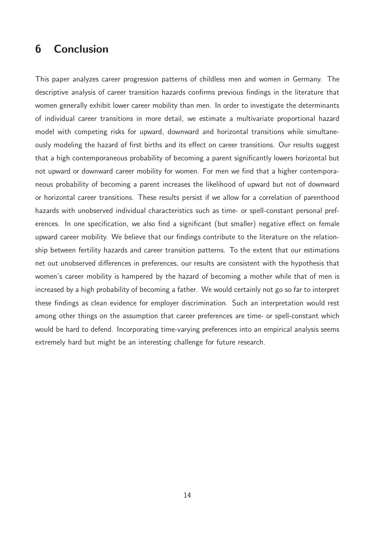## 6 Conclusion

This paper analyzes career progression patterns of childless men and women in Germany. The descriptive analysis of career transition hazards confirms previous findings in the literature that women generally exhibit lower career mobility than men. In order to investigate the determinants of individual career transitions in more detail, we estimate a multivariate proportional hazard model with competing risks for upward, downward and horizontal transitions while simultaneously modeling the hazard of first births and its effect on career transitions. Our results suggest that a high contemporaneous probability of becoming a parent significantly lowers horizontal but not upward or downward career mobility for women. For men we find that a higher contemporaneous probability of becoming a parent increases the likelihood of upward but not of downward or horizontal career transitions. These results persist if we allow for a correlation of parenthood hazards with unobserved individual characteristics such as time- or spell-constant personal preferences. In one specification, we also find a significant (but smaller) negative effect on female upward career mobility. We believe that our findings contribute to the literature on the relationship between fertility hazards and career transition patterns. To the extent that our estimations net out unobserved differences in preferences, our results are consistent with the hypothesis that women's career mobility is hampered by the hazard of becoming a mother while that of men is increased by a high probability of becoming a father. We would certainly not go so far to interpret these findings as clean evidence for employer discrimination. Such an interpretation would rest among other things on the assumption that career preferences are time- or spell-constant which would be hard to defend. Incorporating time-varying preferences into an empirical analysis seems extremely hard but might be an interesting challenge for future research.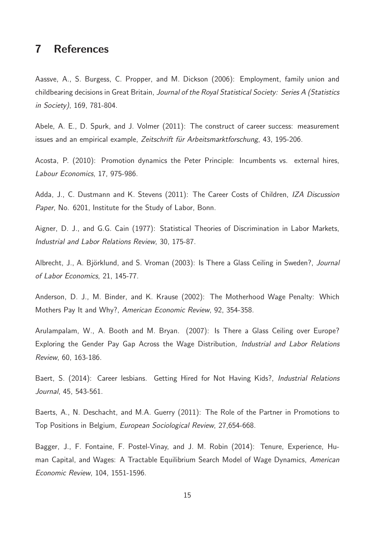## 7 References

Aassve, A., S. Burgess, C. Propper, and M. Dickson (2006): Employment, family union and childbearing decisions in Great Britain, Journal of the Royal Statistical Society: Series A (Statistics in Society), 169, 781-804.

Abele, A. E., D. Spurk, and J. Volmer (2011): The construct of career success: measurement issues and an empirical example, Zeitschrift für Arbeitsmarktforschung, 43, 195-206.

Acosta, P. (2010): Promotion dynamics the Peter Principle: Incumbents vs. external hires, Labour Economics, 17, 975-986.

Adda, J., C. Dustmann and K. Stevens (2011): The Career Costs of Children, IZA Discussion Paper, No. 6201, Institute for the Study of Labor, Bonn.

Aigner, D. J., and G.G. Cain (1977): Statistical Theories of Discrimination in Labor Markets, Industrial and Labor Relations Review, 30, 175-87.

Albrecht, J., A. Björklund, and S. Vroman (2003): Is There a Glass Ceiling in Sweden?, Journal of Labor Economics, 21, 145-77.

Anderson, D. J., M. Binder, and K. Krause (2002): The Motherhood Wage Penalty: Which Mothers Pay It and Why?, American Economic Review, 92, 354-358.

Arulampalam, W., A. Booth and M. Bryan. (2007): Is There a Glass Ceiling over Europe? Exploring the Gender Pay Gap Across the Wage Distribution, Industrial and Labor Relations Review, 60, 163-186.

Baert, S. (2014): Career lesbians. Getting Hired for Not Having Kids?, Industrial Relations Journal, 45, 543-561.

Baerts, A., N. Deschacht, and M.A. Guerry (2011): The Role of the Partner in Promotions to Top Positions in Belgium, European Sociological Review, 27,654-668.

Bagger, J., F. Fontaine, F. Postel-Vinay, and J. M. Robin (2014): Tenure, Experience, Human Capital, and Wages: A Tractable Equilibrium Search Model of Wage Dynamics, American Economic Review, 104, 1551-1596.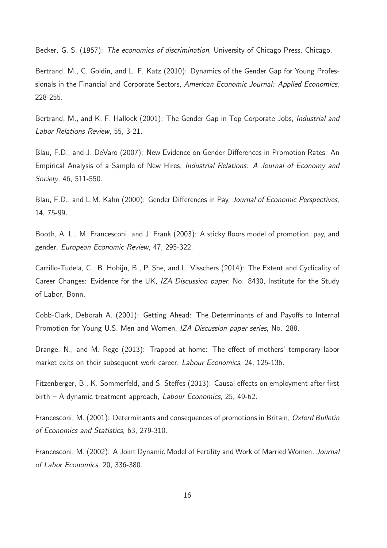Becker, G. S. (1957): The economics of discrimination, University of Chicago Press, Chicago.

Bertrand, M., C. Goldin, and L. F. Katz (2010): Dynamics of the Gender Gap for Young Professionals in the Financial and Corporate Sectors, American Economic Journal: Applied Economics, 228-255.

Bertrand, M., and K. F. Hallock (2001): The Gender Gap in Top Corporate Jobs, *Industrial and* Labor Relations Review, 55, 3-21.

Blau, F.D., and J. DeVaro (2007): New Evidence on Gender Differences in Promotion Rates: An Empirical Analysis of a Sample of New Hires, Industrial Relations: A Journal of Economy and Society, 46, 511-550.

Blau, F.D., and L.M. Kahn (2000): Gender Differences in Pay, Journal of Economic Perspectives, 14, 75-99.

Booth, A. L., M. Francesconi, and J. Frank (2003): A sticky floors model of promotion, pay, and gender, European Economic Review, 47, 295-322.

Carrillo-Tudela, C., B. Hobijn, B., P. She, and L. Visschers (2014): The Extent and Cyclicality of Career Changes: Evidence for the UK, IZA Discussion paper, No. 8430, Institute for the Study of Labor, Bonn.

Cobb-Clark, Deborah A. (2001): Getting Ahead: The Determinants of and Payoffs to Internal Promotion for Young U.S. Men and Women, IZA Discussion paper series, No. 288.

Drange, N., and M. Rege (2013): Trapped at home: The effect of mothers' temporary labor market exits on their subsequent work career, *Labour Economics*, 24, 125-136.

Fitzenberger, B., K. Sommerfeld, and S. Steffes (2013): Causal effects on employment after first birth – A dynamic treatment approach, Labour Economics, 25, 49-62.

Francesconi, M. (2001): Determinants and consequences of promotions in Britain, Oxford Bulletin of Economics and Statistics, 63, 279-310.

Francesconi, M. (2002): A Joint Dynamic Model of Fertility and Work of Married Women, Journal of Labor Economics, 20, 336-380.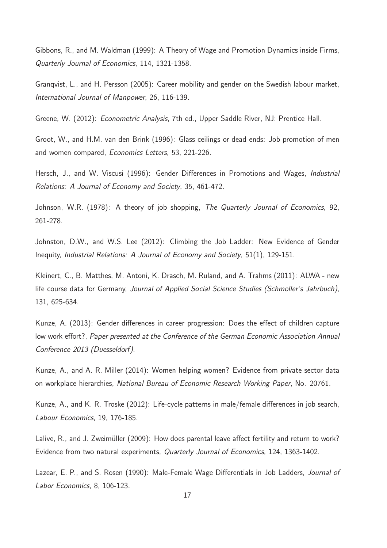Gibbons, R., and M. Waldman (1999): A Theory of Wage and Promotion Dynamics inside Firms, Quarterly Journal of Economics, 114, 1321-1358.

Granqvist, L., and H. Persson (2005): Career mobility and gender on the Swedish labour market, International Journal of Manpower, 26, 116-139.

Greene, W. (2012): Econometric Analysis, 7th ed., Upper Saddle River, NJ: Prentice Hall.

Groot, W., and H.M. van den Brink (1996): Glass ceilings or dead ends: Job promotion of men and women compared, Economics Letters, 53, 221-226.

Hersch, J., and W. Viscusi (1996): Gender Differences in Promotions and Wages, *Industrial* Relations: A Journal of Economy and Society, 35, 461-472.

Johnson, W.R. (1978): A theory of job shopping, The Quarterly Journal of Economics, 92, 261-278.

Johnston, D.W., and W.S. Lee (2012): Climbing the Job Ladder: New Evidence of Gender Inequity, Industrial Relations: A Journal of Economy and Society, 51(1), 129-151.

Kleinert, C., B. Matthes, M. Antoni, K. Drasch, M. Ruland, and A. Trahms (2011): ALWA - new life course data for Germany, Journal of Applied Social Science Studies (Schmoller's Jahrbuch), 131, 625-634.

Kunze, A. (2013): Gender differences in career progression: Does the effect of children capture low work effort?, Paper presented at the Conference of the German Economic Association Annual Conference 2013 (Duesseldorf).

Kunze, A., and A. R. Miller (2014): Women helping women? Evidence from private sector data on workplace hierarchies, National Bureau of Economic Research Working Paper, No. 20761.

Kunze, A., and K. R. Troske (2012): Life-cycle patterns in male/female differences in job search, Labour Economics, 19, 176-185.

Lalive, R., and J. Zweimüller (2009): How does parental leave affect fertility and return to work? Evidence from two natural experiments, Quarterly Journal of Economics, 124, 1363-1402.

Lazear, E. P., and S. Rosen (1990): Male-Female Wage Differentials in Job Ladders, Journal of Labor Economics, 8, 106-123.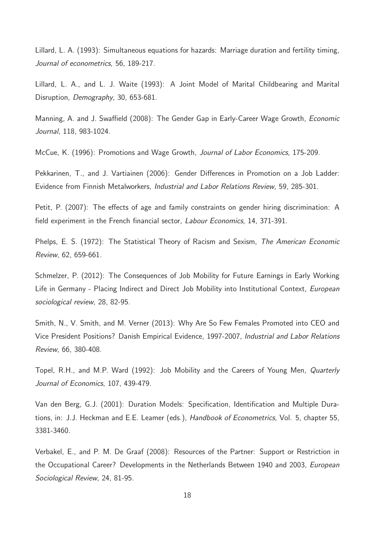Lillard, L. A. (1993): Simultaneous equations for hazards: Marriage duration and fertility timing, Journal of econometrics, 56, 189-217.

Lillard, L. A., and L. J. Waite (1993): A Joint Model of Marital Childbearing and Marital Disruption, Demography, 30, 653-681.

Manning, A. and J. Swaffield (2008): The Gender Gap in Early-Career Wage Growth, Economic Journal, 118, 983-1024.

McCue, K. (1996): Promotions and Wage Growth, Journal of Labor Economics, 175-209.

Pekkarinen, T., and J. Vartiainen (2006): Gender Differences in Promotion on a Job Ladder: Evidence from Finnish Metalworkers, Industrial and Labor Relations Review, 59, 285-301.

Petit, P. (2007): The effects of age and family constraints on gender hiring discrimination: A field experiment in the French financial sector, Labour Economics, 14, 371-391.

Phelps, E. S. (1972): The Statistical Theory of Racism and Sexism, The American Economic Review, 62, 659-661.

Schmelzer, P. (2012): The Consequences of Job Mobility for Future Earnings in Early Working Life in Germany - Placing Indirect and Direct Job Mobility into Institutional Context, European sociological review, 28, 82-95.

Smith, N., V. Smith, and M. Verner (2013): Why Are So Few Females Promoted into CEO and Vice President Positions? Danish Empirical Evidence, 1997-2007, Industrial and Labor Relations Review, 66, 380-408.

Topel, R.H., and M.P. Ward (1992): Job Mobility and the Careers of Young Men, Quarterly Journal of Economics, 107, 439-479.

Van den Berg, G.J. (2001): Duration Models: Specification, Identification and Multiple Durations, in: J.J. Heckman and E.E. Leamer (eds.), Handbook of Econometrics, Vol. 5, chapter 55, 3381-3460.

Verbakel, E., and P. M. De Graaf (2008): Resources of the Partner: Support or Restriction in the Occupational Career? Developments in the Netherlands Between 1940 and 2003, European Sociological Review, 24, 81-95.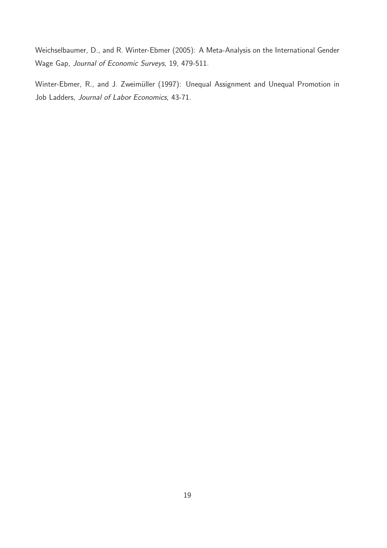Weichselbaumer, D., and R. Winter-Ebmer (2005): A Meta-Analysis on the International Gender Wage Gap, Journal of Economic Surveys, 19, 479-511.

Winter-Ebmer, R., and J. Zweimüller (1997): Unequal Assignment and Unequal Promotion in Job Ladders, Journal of Labor Economics, 43-71.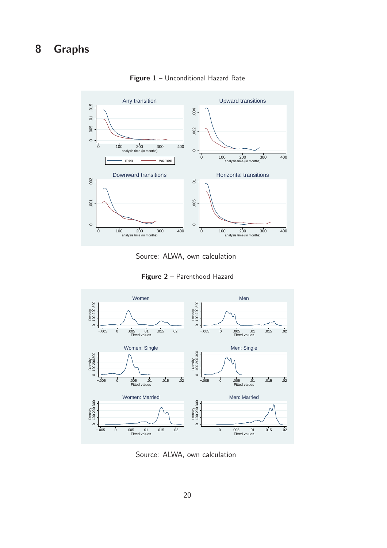## 8 Graphs



Figure 1 - Unconditional Hazard Rate

Source: ALWA, own calculation

Figure 2 - Parenthood Hazard



Source: ALWA, own calculation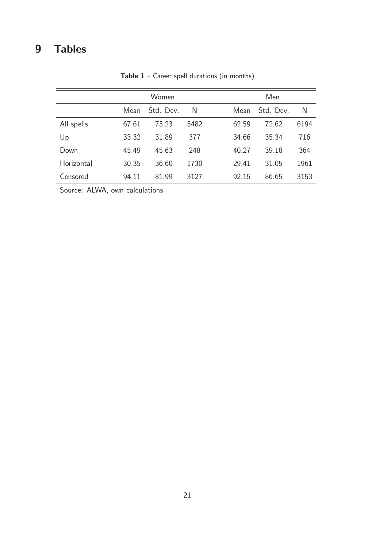# 9 Tables

|            |       | Women     |      | Men                    |
|------------|-------|-----------|------|------------------------|
|            | Mean  | Std. Dev. | N    | Std. Dev.<br>N<br>Mean |
| All spells | 67.61 | 73.23     | 5482 | 6194<br>72.62<br>62.59 |
| Up         | 33.32 | 31.89     | 377  | 34.66<br>35.34<br>716  |
| Down       | 45.49 | 45.63     | 248  | 364<br>39.18<br>40.27  |
| Horizontal | 30.35 | 36.60     | 1730 | 1961<br>29.41<br>31.05 |
| Censored   | 94.11 | 81.99     | 3127 | 86.65<br>3153<br>92.15 |

Table  $1$  – Career spell durations (in months)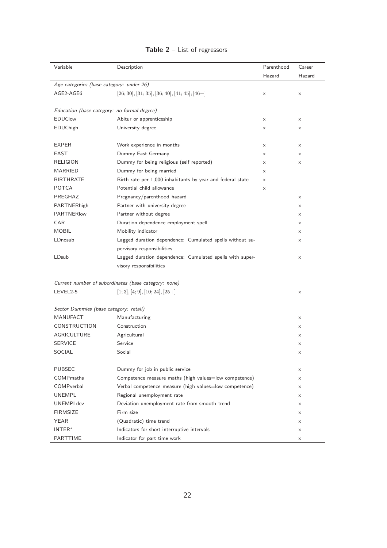| Variable                                 | Description                                                | Parenthood | Career   |
|------------------------------------------|------------------------------------------------------------|------------|----------|
|                                          |                                                            | Hazard     | Hazard   |
| Age categories (base category: under 26) |                                                            |            |          |
| AGE2-AGE6                                | $[26; 30], [31; 35], [36; 40], [41; 45]; [46+]$            | X          | X        |
|                                          | Education (base category: no formal degree)                |            |          |
| <b>EDUClow</b>                           | Abitur or apprenticeship                                   | X          | $\times$ |
| <b>EDUChigh</b>                          | University degree                                          | X          | X        |
| <b>EXPER</b>                             | Work experience in months                                  | X          | X        |
| <b>EAST</b>                              | Dummy East Germany                                         | X          | X        |
| RELIGION                                 | Dummy for being religious (self reported)                  | X          | X        |
| <b>MARRIED</b>                           | Dummy for being married                                    | $\times$   |          |
| <b>BIRTHRATE</b>                         | Birth rate per 1,000 inhabitants by year and federal state | X          |          |
| <b>POTCA</b>                             | Potential child allowance                                  | X          |          |
| PREGHAZ                                  | Pregnancy/parenthood hazard                                |            | X        |
| PARTNERhigh                              | Partner with university degree                             |            | X        |
| <b>PARTNERIow</b>                        | Partner without degree                                     |            | X        |
| CAR                                      | Duration dependence employment spell                       |            | X        |
| <b>MOBIL</b>                             | Mobility indicator                                         |            | X        |
| LDnosub                                  | Lagged duration dependence: Cumulated spells without su-   |            | X        |
|                                          | pervisory responsibilities                                 |            |          |
| LDsub                                    | Lagged duration dependence: Cumulated spells with super-   |            | X        |
|                                          | visory responsibilities                                    |            |          |
|                                          | Current number of subordinates (base category: none)       |            |          |
| LEVEL2-5                                 | $[1;3], [4;9], [10;24], [25+]$                             |            | X        |
| Sector Dummies (base category: retail)   |                                                            |            |          |
| MANUFACT                                 | Manufacturing                                              |            | X        |
| CONSTRUCTION                             | Construction                                               |            | X        |
| AGRICULTURE                              | Agricultural                                               |            | X        |
| <b>SERVICE</b>                           | Service                                                    |            | X        |
| SOCIAL                                   | Social                                                     |            | X        |
| PUBSEC                                   | Dummy for job in public service                            |            | X        |
| <b>COMP</b> maths                        | Competence measure maths (high values=low competence)      |            | X        |
| COMPverbal                               | Verbal competence measure (high values=low competence)     |            | $\times$ |
| <b>UNEMPL</b>                            | Regional unemployment rate                                 |            | X        |
| <b>UNEMPLdev</b>                         | Deviation unemployment rate from smooth trend              |            | $\times$ |
| <b>FIRMSIZE</b>                          | Firm size                                                  |            | X        |
| YEAR                                     | (Quadratic) time trend                                     |            | X        |
| INTER*                                   | Indicators for short interruptive intervals                |            | X        |
| PARTTIME                                 | Indicator for part time work                               |            | X        |

### Table 2 - List of regressors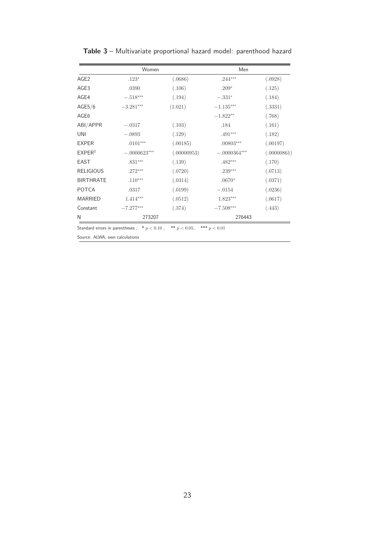|                    | Women          |             | Men                 |             |
|--------------------|----------------|-------------|---------------------|-------------|
| AGE <sub>2</sub>   | $.123*$        | (.0686)     | $.244***$           | (.0928)     |
| AGE3               | .0390          | (.106)      | $.209*$             | (.125)      |
| AGE4               | $-.518***$     | (.194)      | $-.331*$            | (.184)      |
| AGE5/6             | $-3.281***$    | (1.021)     | $-1.135***$         | (.3331)     |
| AGE6               |                |             | $-1.822**$          | (.768)      |
| ABI/APPR           | $-.0317$       | (.103)      | .184                | (.161)      |
| UNI                | $-.0893$       | (.129)      | $.491***$           | (.182)      |
| <b>EXPER</b>       | $.0101***$     | (.00185)    | $.00803***$         | (.00197)    |
| EXPER <sup>2</sup> | $-.0000623***$ | (.00000953) | $-.0000364^{***}\,$ | (.00000861) |
| <b>EAST</b>        | $.831***$      | (.139)      | $.482***$           | (.170)      |
| <b>RELIGIOUS</b>   | $.272***$      | (.0720)     | $.239***$           | (.0713)     |
| <b>BIRTHRATE</b>   | $.110***$      | (.0314)     | $.0670*$            | (.0371)     |
| <b>POTCA</b>       | .0317          | (.0199)     | $-.0154$            | (.0236)     |
| <b>MARRIED</b>     | $1.414***$     | (.0512)     | $1.823***$          | (.0617)     |
| Constant           | $-7.277***$    | (.374)      | $-7.508***$         | (.443)      |
| N                  | 273207         |             | 276443              |             |
|                    |                |             |                     |             |

Table 3 – Multivariate proportional hazard model: parenthood hazard

Standard errors in parentheses ;  $* p < 0.10$ ,  $* p < 0.05$ ,  $* * p < 0.01$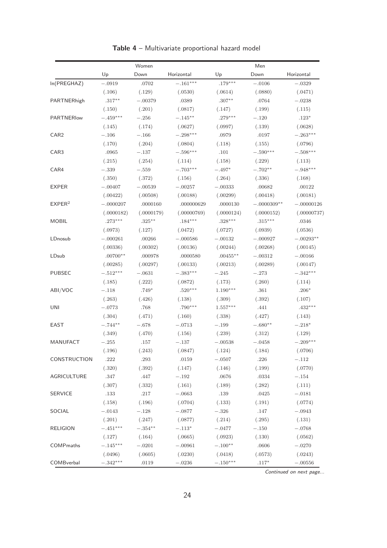|                    | Women       |            |             | Men         |               |              |  |
|--------------------|-------------|------------|-------------|-------------|---------------|--------------|--|
|                    | Up          | Down       | Horizontal  | Up          | Down          | Horizontal   |  |
| In(PREGHAZ)        | $-.0919$    | .0702      | $-.161***$  | $.179***$   | $-.0106$      | $-.0329$     |  |
|                    | (.106)      | (.129)     | (.0530)     | (.0614)     | (.0880)       | (.0471)      |  |
| PARTNERhigh        | $.317***$   | $-.00379$  | .0389       | $.307**$    | .0764         | $-.0238$     |  |
|                    | (.150)      | (.201)     | (.0817)     | (.147)      | (.199)        | (.115)       |  |
| PARTNERIow         | $-.459***$  | $-.256$    | $-.145***$  | $.279***$   | $-.120$       | $.123*$      |  |
|                    | (.145)      | (.174)     | (.0627)     | (.0997)     | (.139)        | (.0628)      |  |
| CAR <sub>2</sub>   | $-.106$     | $-.166$    | $-.298***$  | .0979       | .0197         | $-.263***$   |  |
|                    | (.170)      | (.204)     | (.0804)     | (.118)      | (.155)        | (.0796)      |  |
| CAR3               | .0965       | $-.137$    | $-.596***$  | .101        | $-.590***$    | $-.508***$   |  |
|                    | (.215)      | (.254)     | (.114)      | (.158)      | (.229)        | (.113)       |  |
| CAR4               | $-.339$     | $-.559$    | $-.703***$  | $-.497*$    | $-.702**$     | $-.948***$   |  |
|                    | (.350)      | (.372)     | (.156)      | (.264)      | (.336)        | (.168)       |  |
| <b>EXPER</b>       | $-.00407$   | $-.00539$  | $-.00257$   | $-.00333$   | .00682        | .00122       |  |
|                    | (.00422)    | (.00508)   | (.00188)    | (.00299)    | (.00418)      | (.00181)     |  |
| EXPER <sup>2</sup> | $-.0000207$ | .0000160   | .000000629  | .0000130    | $-.0000309**$ | $-.00000126$ |  |
|                    | (.0000182)  | (.0000179) | (.00000769) | (.0000124)  | (.0000152)    | (.00000737)  |  |
| <b>MOBIL</b>       | $.273***$   | $.325***$  | $.184***$   | $.328***$   | $.315***$     | .0346        |  |
|                    | (.0973)     | (.127)     | (.0472)     | (.0727)     | (.0939)       | (.0536)      |  |
| LDnosub            | $-.000261$  | .00266     | $-.000586$  | $-.00132$   | $-.000927$    | $-.00293**$  |  |
|                    | (.00336)    | (.00302)   | (.00136)    | (.00244)    | (.00268)      | (.00145)     |  |
| LDsub              | $.00700**$  | .000978    | .0000580    | $.00455***$ | $-.00312$     | $-.00166$    |  |
|                    | (.00285)    | (.00297)   | (.00133)    | (.00213)    | (.00289)      | (.00147)     |  |
| <b>PUBSEC</b>      | $-.512***$  | $-.0631$   | $-.383***$  | $-.245$     | $-.273$       | $-.342***$   |  |
|                    | (.185)      | (.222)     | (.0872)     | (.173)      | (.260)        | (.114)       |  |
| ABI/VOC            | $-.118$     | $.749*$    | $.520***$   | $1.190***$  | $.361\,$      | $.206*$      |  |
|                    | (.263)      | (.426)     | (.138)      | (.309)      | (.392)        | (.107)       |  |
| UNI                | $-.0773$    | .768       | $.790***$   | $1.557***$  | .441          | $.432***$    |  |
|                    | (.304)      | (.471)     | (.160)      | (.338)      | (.427)        | (.143)       |  |
| EAST               | $-.744**$   | $-.678$    | $-.0713$    | $-.199$     | $-.680**$     | $-.218*$     |  |
|                    | (.349)      | (.470)     | (.156)      | (.239)      | (.312)        | (.129)       |  |
| <b>MANUFACT</b>    | $-.255$     | .157       | $-.137$     | $-.00538$   | $-.0458$      | $-.209***$   |  |
|                    | (.196)      | (.243)     | (.0847)     | (.124)      | (.184)        | (.0706)      |  |
| CONSTRUCTION       | .222        | .293       | .0159       | $-.0507$    | .226          | $-.112$      |  |
|                    | (.320)      | (.392)     | (.147)      | (.146)      | (.199)        | (.0770)      |  |
| AGRICULTURE        | .347        | $.447$     | $-.192$     | .0676       | .0334         | $-.154$      |  |
|                    | (.307)      | (.332)     | (.161)      | (.189)      | (.282)        | (.111)       |  |
| <b>SERVICE</b>     | .133        | .217       | $-.0663$    | .139        | .0425         | $-.0181$     |  |
|                    | (.158)      | (.196)     | (.0704)     | (.133)      | (.191)        | (.0774)      |  |
| SOCIAL             | $-.0143$    | $-.128$    | $-.0877$    | $-.326$     | .147          | $-.0943$     |  |
|                    | (.201)      | (.247)     | (.0877)     | (.214)      | (.295)        | (.131)       |  |
| <b>RELIGION</b>    | $-.451***$  | $-.354**$  | $-.113*$    | $-.0477$    | $-.150$       | $-.0768$     |  |
|                    | (.127)      | (.164)     | (.0665)     | (.0923)     | (.130)        | (.0562)      |  |
| COMPmaths          | $-.145***$  | $-.0201$   | $-.00961$   | $-.100**$   | .0606         | $-.0270$     |  |
|                    | (.0496)     | (.0605)    | (.0230)     | (.0418)     | (.0573)       | (.0243)      |  |
| COMBverbal         | $-.342***$  | .0119      | $-.0236$    | $-.150***$  | $.117^{\ast}$ | $-.00556$    |  |

Table 4 – Multivariate proportional hazard model

*Continued on next page...*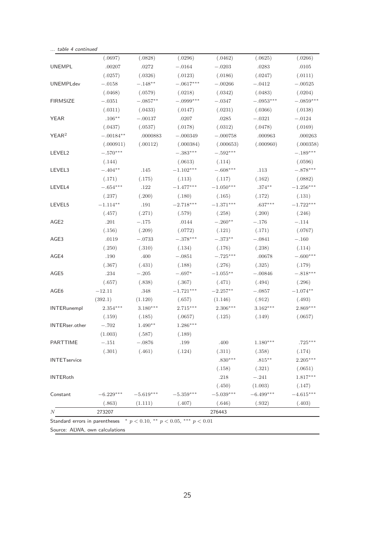|                       | (.0697)     | (.0828)     | (.0296)     | (.0462)     | (.0625)     | (.0266)     |
|-----------------------|-------------|-------------|-------------|-------------|-------------|-------------|
| <b>UNEMPL</b>         | .00207      | .0272       | $-.0164$    | $-.0203$    | .0283       | .0105       |
|                       | (.0257)     | (.0326)     | (.0123)     | (.0186)     | (.0247)     | (.0111)     |
| <b>UNEMPLdev</b>      | $-.0158$    | $-.148**$   | $-.0617***$ | $-.00266$   | $-.0412$    | $-.00525$   |
|                       | (.0468)     | (.0579)     | (.0218)     | (.0342)     | (.0483)     | (.0204)     |
| <b>FIRMSIZE</b>       | $-.0351$    | $-.0857**$  | $-.0999***$ | $-.0347$    | $-.0953***$ | $-.0859***$ |
|                       | (.0311)     | (.0433)     | (.0147)     | (.0231)     | (.0366)     | (.0138)     |
| <b>YEAR</b>           | $.106**$    | $-.00137$   | .0207       | .0285       | $-.0321$    | $-.0124$    |
|                       | (.0437)     | (.0537)     | (.0178)     | (.0312)     | (.0478)     | (.0169)     |
| YEAR <sup>2</sup>     | $-.00184**$ | .0000883    | $-.000349$  | $-.000758$  | .000963     | .000263     |
|                       | (.000911)   | (.00112)    | (.000384)   | (.000653)   | (.000960)   | (.000358)   |
| LEVEL2                | $-.570***$  |             | $-.383***$  | $-.592***$  |             | $-.189***$  |
|                       | (.144)      |             | (.0613)     | (.114)      |             | (.0596)     |
| LEVEL3                | $-.404**$   | .145        | $-1.102***$ | $-.608***$  | .113        | $-.878***$  |
|                       | (.171)      | (.175)      | (.113)      | (.117)      | (.162)      | (.0882)     |
| LEVEL4                | $-.654***$  | .122        | $-1.477***$ | $-1.050***$ | $.374**$    | $-1.256***$ |
|                       | (.237)      | (.200)      | (.180)      | (.165)      | (.172)      | (.131)      |
| LEVEL5                | $-1.114**$  | .191        | $-2.718***$ | $-1.371***$ | $.637***$   | $-1.722***$ |
|                       | (.457)      | (.271)      | (.579)      | (.258)      | (.200)      | (.246)      |
| AGE <sub>2</sub>      | .201        | $-.175$     | .0144       | $-.260**$   | $-.176$     | $-.114$     |
|                       | (.156)      | (.209)      | (.0772)     | (.121)      | (.171)      | (.0767)     |
| AGE <sub>3</sub>      | .0119       | $-.0733$    | $-.378***$  | $-.373**$   | $-.0841$    | $-.160$     |
|                       | (.250)      | (.310)      | (.134)      | (.176)      | (.238)      | (.114)      |
| AGE4                  | .190        | .400        | $-.0851$    | $-.725***$  | .00678      | $-.600***$  |
|                       | (.367)      | (.431)      | (.188)      | (.276)      | (.325)      | (.179)      |
| AGE5                  | .234        | $-.205$     | $-.697*$    | $-1.055***$ | $-.00846$   | $-.818***$  |
|                       | (.657)      | (.838)      | (.367)      | (.471)      | (.494)      | (.296)      |
| AGE6                  | $-12.11$    | .348        | $-1.721***$ | $-2.257***$ | $-.0857$    | $-1.074**$  |
|                       | (392.1)     | (1.120)     | (.657)      | (1.146)     | (.912)      | (.493)      |
| <b>INTERunempl</b>    | $2.354***$  | $3.180***$  | $2.715***$  | 2.306***    | $3.162***$  | $2.869***$  |
|                       | (.159)      | (.185)      | (.0657)     | (.125)      | (.149)      | (.0657)     |
| <b>INTERser.other</b> | $-.702$     | $1.490**$   | $1.286***$  |             |             |             |
|                       | (1.003)     | (.587)      | (.189)      |             |             |             |
| PARTTIME              | $-.151$     | $-.0876$    | .199        | .400        | $1.180***$  | $.725***$   |
|                       | (.301)      | (.461)      | (.124)      | (.311)      | (.358)      | (.174)      |
| <b>INTETservice</b>   |             |             |             | $.830***$   | $.815***$   | $2.205***$  |
|                       |             |             |             | (.158)      | (.321)      | (.0651)     |
| <b>INTERoth</b>       |             |             |             | .218        | $-.241$     | $1.817***$  |
|                       |             |             |             | (.450)      | (1.003)     | (.147)      |
| Constant              | $-6.229***$ | $-5.619***$ | $-5.359***$ | $-5.039***$ | $-6.499***$ | $-4.615***$ |
|                       | (.863)      | (1.111)     | (.407)      | (.646)      | (.932)      | (.403)      |
| N                     | 273207      |             |             | 276443      |             |             |

Standard errors in parentheses \*  $p < 0.10$ , \*\*  $p < 0.05$ , \*\*\*  $p < 0.01$ 

Source: ALWA, own calculations

*... table 4 continued*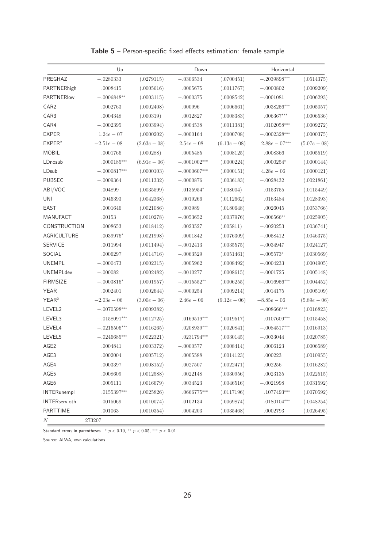|                    | Up             |                | Down           |                | Horizontal                |                |
|--------------------|----------------|----------------|----------------|----------------|---------------------------|----------------|
| PREGHAZ            | $-.0280333$    | (.0279115)     | $-.0306534$    | (.0700451)     | $-.2039898***$            | (.0514375)     |
| PARTNERhigh        | .0008415       | (.0005616)     | .0005675       | (.0011767)     | $-.0000802$               | (.0009209)     |
| PARTNERIow         | $-.0006848**$  | (.0003115)     | $-.0000375$    | (.0008542)     | $-.0001081$               | (.0006293)     |
| CAR <sub>2</sub>   | .0002763       | (.0002408)     | .000996        | (.0006661)     | $.0038256***$             | (.0005057)     |
| CAR3               | .0004348       | (.000319)      | .0012827       | (.0008383)     | $.006367***$              | (.0006536)     |
| CAR4               | $-.0002395$    | (.0003994)     | .0004538       | (.0011381)     | $.0102058***$             | (.0009272)     |
| <b>EXPER</b>       | $1.24e - 07$   | (.0000202)     | $-.0000164$    | (.0000708)     | $-.0002328***$            | (.0000375)     |
| EXPER <sup>2</sup> | $-2.51e-08$    | $(2.63e - 08)$ | $2.54e - 08$   | $(6.13e-08)$   | $2.88e - 07***$           | $(5.07e-08)$   |
| <b>MOBIL</b>       | .0001766       | (.000288)      | .0005485       | (.0008125)     | .0008366                  | (.0005519)     |
| LDnosub            | $.0000185***$  | $(6.91e-06)$   | $-.0001002***$ | (.0000224)     | $.0000254*$               | (.0000144)     |
| LDsub              | $-.0000817***$ | (.0000103)     | $-.0000607***$ | (.0000151)     | $4.28e - 06$              | (.0000121)     |
| PUBSEC             | $-.0009364$    | (.0011332)     | $-.0000876$    | (.0036183)     | $-.0028432$               | (.0021861)     |
| ABI/VOC            | .004899        | (.0035599)     | $.0135954*$    | (.008004)      | .0153755                  | (.0115449)     |
| <b>UNI</b>         | .0046393       | (.0042368)     | .0019266       | (.0112662)     | .0163484                  | (.0128393)     |
| <b>EAST</b>        | .0001646       | (.0021086)     | .003989        | (.0180648)     | .0026045                  | (.0053766)     |
| <b>MANUFACT</b>    | .00153         | (.0010278)     | $-.0053652$    | (.0037976)     | $-.006566**$              | (.0025905)     |
| CONSTRUCTION       | .0008653       | (.0018412)     | .0023527       | (.005811)      | $-.0020253$               | (.0036741)     |
| AGRICULTURE        | $.0039976*$    | (.0021998)     | .0001842       | (.0076309)     | $-.0058412$               | (.0046375)     |
| <b>SERVICE</b>     | .0011994       | (.0011494)     | $-.0012413$    | (.0035575)     | $-.0034947$               | (.0024127)     |
| SOCIAL             | .0006297       | (.0014716)     | $-.0063529$    | (.0051461)     | $-.005573*$               | (.0030569)     |
| <b>UNEMPL</b>      | $-.0000473$    | (.0002315)     | .0005962       | (.0008492)     | $-.0004233$               | (.0004905)     |
| <b>UNEMPLdev</b>   | $-.000082$     | (.0002482)     | $-.0010277$    | (.0008615)     | $-.0001725$               | (.0005148)     |
| <b>FIRMSIZE</b>    | $-.0003816*$   | (.0001957)     | $-.0015552**$  | (.0006255)     | $-.0016956***$            | (.0004452)     |
| <b>YEAR</b>        | .0002401       | (.0002644)     | $-.0000254$    | (.0009214)     | .0014175                  | (.0005109)     |
| YEAR <sup>2</sup>  | $-2.03e - 06$  | $(3.00e-06)$   | $2.46e - 06$   | $(9.12e - 06)$ | $-8.85e - 06$             | $(5.89e - 06)$ |
| LEVEL2             | $-.0070598***$ | (.0009382)     |                |                | $-.008666$ ***            | (.0016823)     |
| LEVEL3             | $-.0158091***$ | (.0012725)     | $.0169519***$  | (.0019517)     | $-.0107609***$            | (.0015458)     |
| LEVEL4             | $-.0216506***$ | (.0016265)     | $.0208939***$  | (.0020841)     | $-.0084517***$            | (.0016913)     |
| LEVEL5             | $-.0246685***$ | (.0022321)     | $.0231794***$  | (.0030145)     | $-.0033044$               | (.0020785)     |
| AGE <sub>2</sub>   | .0004841       | (.0003372)     | $-.0000577$    | (.0008414)     | .0006123                  | (.0006589)     |
| AGE3               | .0002004       | (.0005712)     | .0005588       | (.0014123)     | .000223                   | (.0010955)     |
| AGE4               | .0003397       | (.0008152)     | .0027507       | (.0022471)     | .002256                   | (.0016282)     |
| AGE5               | .0008609       | (.0012588)     | .0022148       | (.0030956)     | .0023135                  | (.0022515)     |
| AGE6               | .0005111       | (.0016679)     | .0034523       | (.0046516)     | $-.0021998$               | (.0031592)     |
| <b>INTERunempl</b> | $.0155397***$  | (.0025826)     | $.0666775***$  | (.0117196)     | $.1077493^{\ast\ast\ast}$ | (.0070592)     |
| INTERserv.oth      | $-.0015069$    | (.0010074)     | .0102134       | (.0069874)     | $.0180104^{***}\;$        | (.0048254)     |
| PARTTIME           | .001063        | (.0010354)     | .0004203       | (.0035468)     | .0002793                  | (.0026495)     |
| $\boldsymbol{N}$   | 273207         |                |                |                |                           |                |

Table 5 – Person-specific fixed effects estimation: female sample

Standard errors in parentheses \*  $p < 0.10$ , \*\*  $p < 0.05$ , \*\*\*  $p < 0.01$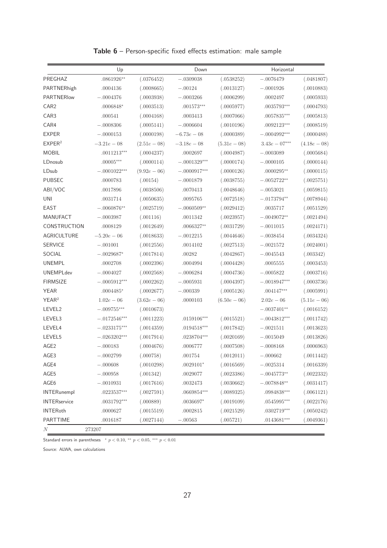|                     | Up             |                | Down           |                | Horizontal      |              |
|---------------------|----------------|----------------|----------------|----------------|-----------------|--------------|
| PREGHAZ             | $.0861926**$   | (.0376452)     | $-.0309038$    | (.0538252)     | $-.0076479$     | (.0481807)   |
| PARTNERhigh         | .0004136       | (.0008665)     | $-.00124$      | (.0013127)     | $-.0001926$     | (.0010883)   |
| <b>PARTNERIow</b>   | $-.0004376$    | (.0003938)     | $-.0003266$    | (.0006299)     | .0002497        | (.0005933)   |
| CAR <sub>2</sub>    | $.0006848*$    | (.0003513)     | $.001573***$   | (.0005977)     | $.0035793***$   | (.0004793)   |
| CAR3                | .000541        | (.0004168)     | .0003413       | (.0007066)     | $.0057835***$   | (.0005813)   |
| CAR4                | $-.0008306$    | (.0005141)     | $-.0006604$    | (.0010196)     | $.0092123***$   | (.0008519)   |
| <b>EXPER</b>        | $-.0000153$    | (.0000198)     | $-6.73e - 08$  | (.0000389)     | $-.0004992***$  | (.0000488)   |
| EXPER <sup>2</sup>  | $-3.21e-08$    | $(2.51e-0.8)$  | $-3.18e - 08$  | $(5.31e-0.8)$  | $3.43e - 07***$ | $(4.18e-08)$ |
| <b>MOBIL</b>        | $.0011213***$  | (.0004237)     | .0002697       | (.0004987)     | $-.0003089$     | (.0005684)   |
| LDnosub             | $.00005***$    | (.0000114)     | $-.0001329***$ | (.0000174)     | $-.0000105$     | (.0000144)   |
| LDsub               | $-.0001022***$ | $(9.92e - 06)$ | $-.0000917***$ | (.0000126)     | $.0000295**$    | (.0000115)   |
| <b>PUBSEC</b>       | .0000783       | (.00154)       | $-.0001879$    | (.0038755)     | $-.0052722**$   | (.0025751)   |
| ABI/VOC             | .0017896       | (.0038506)     | .0070413       | (.0048646)     | $-.0053021$     | (.0059815)   |
| <b>UNI</b>          | .0031714       | (.0050635)     | .0095765       | (.0072518)     | $-.0173794**$   | (.0078944)   |
| EAST                | $-.0060876**$  | (.0025719)     | $-.0060509**$  | (.0029412)     | .0035717        | (.0051529)   |
| <b>MANUFACT</b>     | $-.0003987$    | (.001116)      | .0011342       | (.0023957)     | $-.0049072**$   | (.0021494)   |
| CONSTRUCTION        | .0008129       | (.0012649)     | $.0066327**$   | (.0031729)     | $-.0011015$     | (.0024171)   |
| AGRICULTURE         | $-5.20e-06$    | (.0018633)     | $-.0012215$    | (.0044646)     | $-.0038454$     | (.0034324)   |
| <b>SERVICE</b>      | $-.001001$     | (.0012556)     | .0014102       | (.0027513)     | $-.0021572$     | (.0024001)   |
| SOCIAL              | $-.0029687*$   | (.0017814)     | .00282         | (.0042867)     | $-.0045543$     | (.003342)    |
| <b>UNEMPL</b>       | .0002708       | (.0002396)     | .0004994       | (.0004428)     | .0005555        | (.0003453)   |
| <b>UNEMPLdev</b>    | $-.0004027$    | (.0002568)     | $-.0006284$    | (.0004736)     | $-.0005822$     | (.0003716)   |
| <b>FIRMSIZE</b>     | $-.0005912***$ | (.0002262)     | $-.0005931$    | (.0004397)     | $-.0018947***$  | (.0003736)   |
| <b>YEAR</b>         | $.0004485*$    | (.0002677)     | $-.000339$     | (.0005126)     | $.004147***$    | (.0005991)   |
| YEAR <sup>2</sup>   | $1.02e - 06$   | $(3.62e-06)$   | .0000103       | $(6.50e - 06)$ | $2.02e - 06$    | $(5.11e-06)$ |
| LEVEL2              | $-.009755***$  | (.0010673)     |                |                | $-.0037401**$   | (.0016152)   |
| LEVEL3              | $-.0172546***$ | (.0011223)     | $.0159106***$  | (.0015521)     | $-.0043812***$  | (.0011742)   |
| LEVEL4              | $-.0233175***$ | (.0014359)     | $.0194518***$  | (.0017842)     | $-.0021511$     | (.0013623)   |
| LEVEL5              | $-.0263202***$ | (.0017914)     | $.0238704***$  | (.0020169)     | $-.0015049$     | (.0013826)   |
| AGE <sub>2</sub>    | $-.000183$     | (.0004676)     | .0006777       | (.0007508)     | $-.0008168$     | (.0006963)   |
| AGE3                | $-.0002799$    | (.000758)      | $.001754\,$    | (.0012011)     | $-.000662$      | (.0011442)   |
| AGE4                | $-.000608$     | (.0010298)     | $.0029101*$    | (.0016569)     | $-.0025314$     | (.0016339)   |
| AGE5                | $-.000958$     | (.001342)      | .0029077       | (.0023386)     | $-.0045773**$   | (.0022332)   |
| AGE6                | $-.0010931$    | (.0017616)     | .0032473       | (.0030662)     | $-.0078848**$   | (.0031417)   |
| <b>INTERunempl</b>  | $.0223537***$  | (.0027591)     | $.0669854***$  | (.0089325)     | $.0984838***$   | (.0061121)   |
| <b>INTERservice</b> | $.0031792***$  | (.000889)      | $.0036697*$    | (.0019109)     | $.0545995***$   | (.0022176)   |
| <b>INTERoth</b>     | .0000627       | (.0015519)     | .0002815       | (.0021529)     | $.0302719***$   | (.0050242)   |
| PARTTIME            | .0016187       | (.0027144)     | $-.00563$      | (.005721)      | $.0143681***$   | (.0049361)   |
| N                   | $273207\,$     |                |                |                |                 |              |

#### Table 6 – Person-specific fixed effects estimation: male sample

Standard errors in parentheses \*  $p < 0.10$ , \*\*  $p < 0.05$ , \*\*\*  $p < 0.01$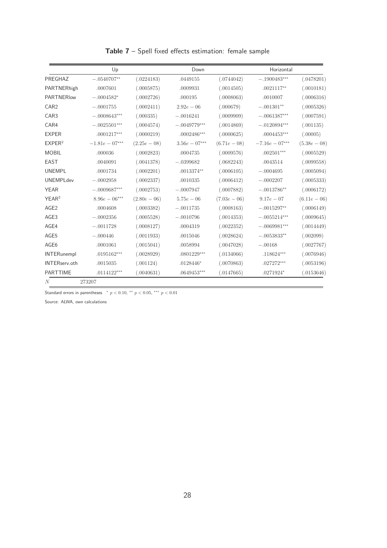|                    | Up              |                | Down                      |              | Horizontal       |               |  |
|--------------------|-----------------|----------------|---------------------------|--------------|------------------|---------------|--|
| PREGHAZ            | $-.0540707**$   | (.0224183)     | .0449155                  | (.0744042)   | $-.1900483***$   | (.0478201)    |  |
| PARTNERhigh        | .0007601        | (.0005875)     | .0009931                  | (.0014505)   | $.0021117**$     | (.0010181)    |  |
| PARTNERIow         | $-.0004582*$    | (.0002726)     | .000195                   | (.0008063)   | .0010007         | (.0006316)    |  |
| CAR <sub>2</sub>   | $-.0001755$     | (.0002411)     | $2.92e - 06$              | (.000679)    | $-.001301**$     | (.0005326)    |  |
| CAR <sub>3</sub>   | $-.0008643***$  | (.000335)      | $-.0016241$               | (.0009909)   | $-.0061387***$   | (.0007591)    |  |
| CAR4               | $-.0025501***$  | (.0004574)     | $-.0049779***$            | (.0014869)   | $-.0120894***$   | (.001135)     |  |
| <b>EXPER</b>       | $.0001217***$   | (.0000219)     | $.0002486^{\ast\ast\ast}$ | (.0000625)   | $.0004453***$    | (.00005)      |  |
| EXPER <sup>2</sup> | $-1.81e-07***$  | $(2.25e-0.8)$  | $3.56e - 07***$           | $(6.71e-08)$ | $-7.16e - 07***$ | $(5.38e-0.8)$ |  |
| <b>MOBIL</b>       | .000036         | (.0002823)     | .0004735                  | (.0009576)   | $.002501***$     | (.0005529)    |  |
| <b>EAST</b>        | .0040091        | (.0041378)     | $-.0399682$               | (.0682243)   | .0043514         | (.0099558)    |  |
| <b>UNEMPL</b>      | .0001734        | (.0002201)     | $.0013374**$              | (.0006105)   | $-.0004695$      | (.0005094)    |  |
| <b>UNEMPLdev</b>   | $-.0002958$     | (.0002337)     | .0010335                  | (.0006412)   | $-.0002207$      | (.0005333)    |  |
| <b>YEAR</b>        | $-.0009687***$  | (.0002753)     | $-.0007947$               | (.0007882)   | $-.0013786**$    | (.0006172)    |  |
| YEAR <sup>2</sup>  | $8.96e - 06***$ | $(2.80e - 06)$ | $5.75e - 06$              | $(7.03e-06)$ | $9.17e - 07$     | $(6.11e-06)$  |  |
| AGE <sub>2</sub>   | .0004608        | (.0003382)     | $-.0011735$               | (.0008163)   | $-.0015297**$    | (.0006149)    |  |
| AGE3               | $-.0002356$     | (.0005528)     | $-.0010796$               | (.0014353)   | $-.0055214***$   | (.0009645)    |  |
| AGE4               | $-.0011728$     | (.0008127)     | .0004319                  | (.0022352)   | $-.0069981***$   | (.0014449)    |  |
| AGE5               | $-.000446$      | (.0011933)     | .0015046                  | (.0028624)   | $-.0053833**$    | (.002099)     |  |
| AGE6               | .0001061        | (.0015041)     | .0058994                  | (.0047028)   | $-.00168$        | (.0027767)    |  |
| <b>INTERunempl</b> | $.0195162***$   | (.0028929)     | $.0801229***$             | (.0134066)   | $.118624***$     | (.0076946)    |  |
| INTERserv.oth      | .0015035        | (.001124)      | $.0128446*$               | (.0070863)   | $.027272***$     | (.0053196)    |  |
| <b>PARTTIME</b>    | $.0114122***$   | (.0040631)     | $.0649453***$             | (.0147665)   | $.0271924*$      | (.0153646)    |  |
| N                  | 273207          |                |                           |              |                  |               |  |

Table 7 – Spell fixed effects estimation: female sample

Standard errors in parentheses \*  $p < 0.10$ , \*\*  $p < 0.05$ , \*\*\*  $p < 0.01$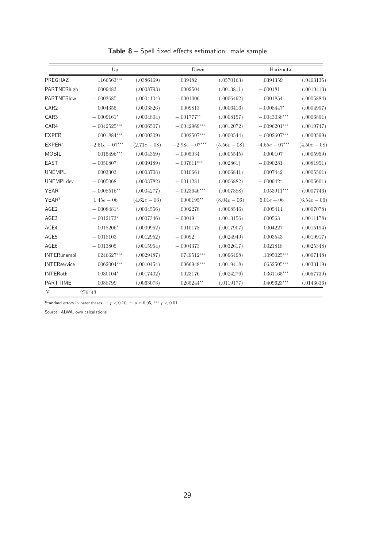|                     | Up             |              | Down             |                | Horizontal     |                |
|---------------------|----------------|--------------|------------------|----------------|----------------|----------------|
| PREGHAZ             | $.1166563***$  | (.0386469)   | .039482          | (.0570163)     | .0394359       | (.0463135)     |
| PARTNERhigh         | .0009483       | (.0008793)   | .0002504         | (.0013811)     | $-.000181$     | (.0010413)     |
| PARTNERIow          | $-.0003685$    | (.0004104)   | $-.0001006$      | (.0006492)     | .0001854       | (.0005884)     |
| CAR <sub>2</sub>    | .0004355       | (.0003826)   | .0009813         | (.0006416)     | $-.0008447*$   | (.0004997)     |
| CAR <sub>3</sub>    | $-.0009161*$   | (.0004804)   | $-.001777**$     | (.0008157)     | $-.0043038***$ | (.0006891)     |
| CAR4                | $-.0042525***$ | (.0006507)   | $-.0042969***$   | (.0012072)     | $-.0096201***$ | (.0010747)     |
| <b>EXPER</b>        | $.0001884***$  | (.0000309)   | $.0002507***$    | (.0000544)     | $-.0002607***$ | (.0000599)     |
| EXPER <sup>2</sup>  | $-2.51e-07***$ | $(2.71e-08)$ | $-2.98e - 07***$ | $(5.56e - 08)$ | $-4.65e-07***$ | $(4.50e-08)$   |
| <b>MOBIL</b>        | $.0015496***$  | (.0004359)   | $-.0005034$      | (.0005545)     | .0000107       | (.0005959)     |
| <b>EAST</b>         | $-.0050807$    | (.0039189)   | $-.007611***$    | (.002861)      | $-.0090281$    | (.0081951)     |
| <b>UNEMPL</b>       | .0003303       | (.0003708)   | .0010661         | (.0006841)     | .0007442       | (.0005561)     |
| <b>UNEMPLdev</b>    | $-.0005068$    | (.0003782)   | $-.0011281$      | (.0006882)     | $-.000942*$    | (.0005601)     |
| <b>YEAR</b>         | $-.0008516**$  | (.0004277)   | $-.0023646***$   | (.0007388)     | $.0053911***$  | (.0007746)     |
| YEAR <sup>2</sup>   | $1.45e - 06$   | $(4.62e-06)$ | $.0000195**$     | $(8.04e - 06)$ | $6.01e-06$     | $(6.54e - 06)$ |
| AGE <sub>2</sub>    | $-.0008481*$   | (.0004556)   | .0002278         | (.0008546)     | .0005414       | (.0007078)     |
| AGE3                | $-.0012173*$   | (.0007346)   | $-.00049$        | (.0013156)     | .000563        | (.0011178)     |
| AGE4                | $-.0018206*$   | (.0009952)   | $-.0010178$      | (.0017907)     | $-.0004227$    | (.0015194)     |
| AGE5                | $-.0018103$    | (.0012952)   | $-.00092$        | (.0024949)     | .0003543       | (.0019917)     |
| AGE <sub>6</sub>    | $-.0013805$    | (.0015954)   | $-.0004373$      | (.0032617)     | .0021818       | (.0025348)     |
| <b>INTERunempl</b>  | $.0246627***$  | (.0029487)   | $.0749512***$    | (.0096498)     | $.1095025***$  | (.0067148)     |
| <b>INTERservice</b> | $.0062004***$  | (.0010454)   | $.0066948***$    | (.0019418)     | $.0652505***$  | (.0033119)     |
| <b>INTERoth</b>     | $.0030104*$    | (.0017402)   | .0023176         | (.0024276)     | $.0361165***$  | (.0057739)     |
| <b>PARTTIME</b>     | .0088799       | (.0063073)   | $.0265244**$     | (.0119177)     | $.0409623***$  | (.0143636)     |
| N                   | 276443         |              |                  |                |                |                |

Table  $8$  – Spell fixed effects estimation: male sample

Standard errors in parentheses \*  $p < 0.10$ , \*\*  $p < 0.05$ , \*\*\*  $p < 0.01$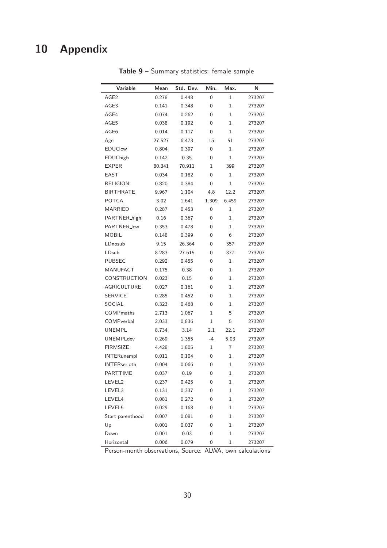# 10 Appendix

| <b>Variable</b>     | Mean   | Std. Dev. | Min.             | Max.         | N      |
|---------------------|--------|-----------|------------------|--------------|--------|
| AGE <sub>2</sub>    | 0.278  | 0.448     | 0                | $\mathbf 1$  | 273207 |
| AGE3                | 0.141  | 0.348     | 0                | $\mathbf 1$  | 273207 |
| AGE4                | 0.074  | 0.262     | 0                | 1            | 273207 |
| AGE5                | 0.038  | 0.192     | 0                | $\mathbf 1$  | 273207 |
| AGE6                | 0.014  | 0.117     | 0                | 1            | 273207 |
| Age                 | 27.527 | 6.473     | 15               | 51           | 273207 |
| <b>EDUClow</b>      | 0.804  | 0.397     | 0                | $\mathbf 1$  | 273207 |
| EDUChigh            | 0.142  | 0.35      | 0                | $\mathbf 1$  | 273207 |
| <b>EXPER</b>        | 80.341 | 70.911    | 1                | 399          | 273207 |
| EAST                | 0.034  | 0.182     | 0                | 1            | 273207 |
| <b>RELIGION</b>     | 0.820  | 0.384     | 0                | $\mathbf 1$  | 273207 |
| <b>BIRTHRATE</b>    | 9.967  | 1.104     | 4.8              | 12.2         | 273207 |
| <b>POTCA</b>        | 3.02   | 1.641     | 1.309            | 6.459        | 273207 |
| <b>MARRIED</b>      | 0.287  | 0.453     | 0                | $\mathbf{1}$ | 273207 |
| PARTNER_high        | 0.16   | 0.367     | 0                | 1            | 273207 |
| PARTNER_low         | 0.353  | 0.478     | 0                | 1            | 273207 |
| <b>MOBIL</b>        | 0.148  | 0.399     | 0                | 6            | 273207 |
| LDnosub             | 9.15   | 26.364    | 0                | 357          | 273207 |
| LDsub               | 8.283  | 27.615    | 0                | 377          | 273207 |
| <b>PUBSEC</b>       | 0.292  | 0.455     | 0                | 1            | 273207 |
| <b>MANUFACT</b>     | 0.175  | 0.38      | 0                | 1            | 273207 |
| CONSTRUCTION        | 0.023  | 0.15      | 0                | 1            | 273207 |
| <b>AGRICULTURE</b>  | 0.027  | 0.161     | 0                | $\mathbf 1$  | 273207 |
| <b>SERVICE</b>      | 0.285  | 0.452     | 0                | 1            | 273207 |
| SOCIAL              | 0.323  | 0.468     | 0                | 1            | 273207 |
| <b>COMPmaths</b>    | 2.713  | 1.067     | 1                | 5            | 273207 |
| COMPverbal          | 2.033  | 0.836     | 1                | 5            | 273207 |
| <b>UNEMPL</b>       | 8.734  | 3.14      | 2.1              | 22.1         | 273207 |
| <b>UNEMPLdev</b>    | 0.269  | 1.355     | $-4$             | 5.03         | 273207 |
| <b>FIRMSIZE</b>     | 4.428  | 1.805     | 1                | 7            | 273207 |
| <b>INTERunempl</b>  | 0.011  | 0.104     | 0                | 1            | 273207 |
| <b>INTERser.oth</b> | 0.004  | 0.066     | 0                | 1            | 273207 |
| PARTTIME            | 0.037  | 0.19      | $\boldsymbol{0}$ | $\mathbf{1}$ | 273207 |
| LEVEL2              | 0.237  | 0.425     | 0                | 1            | 273207 |
| LEVEL3              | 0.131  | 0.337     | 0                | 1            | 273207 |
| LEVEL4              | 0.081  | 0.272     | 0                | 1            | 273207 |
| LEVEL5              | 0.029  | 0.168     | 0                | 1            | 273207 |
| Start parenthood    | 0.007  | 0.081     | 0                | 1            | 273207 |
| Up                  | 0.001  | 0.037     | 0                | 1            | 273207 |
| Down                | 0.001  | 0.03      | 0                | 1            | 273207 |
| Horizontal          | 0.006  | 0.079     | 0                | 1            | 273207 |

Table 9 – Summary statistics: female sample

Person-month observations, Source: ALWA, own calculations